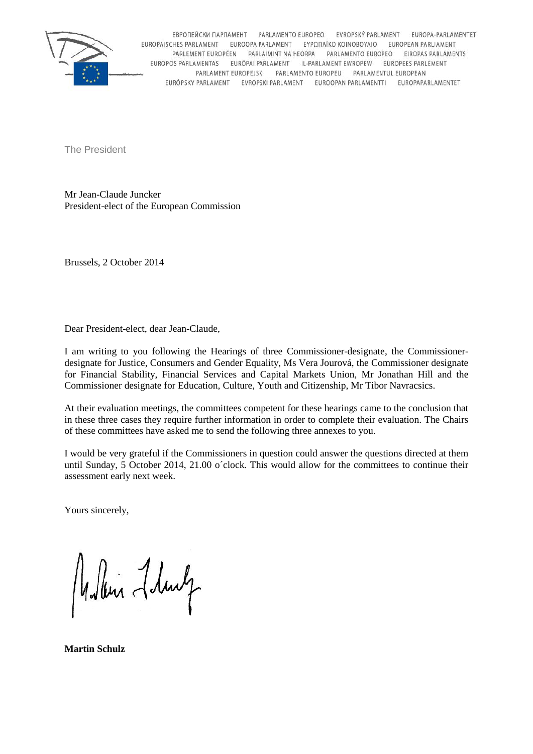

ЕВРОПЕЙСКИ ПАРЛАМЕНТ PARLAMENTO EUROPEO EVROPSKÝ PARLAMENT EUROPA-PARLAMENTET EUROPÄISCHES PARLAMENT EUROOPA PARLAMENT EYPΩΠΑΪΚΟ ΚΟΙΝΟΒΟΥΛΙΟ EUROPEAN PARLIAMENT PARLEMENT EUROPÉEN PARLAIMINT NA HEORPA PARLAMENTO EUROPEO EIROPAS PARLAMENTS EUROPOS PARLAMENTAS EURÓPAI PARLAMENT IL-PARLAMENT EWROPEW EUROPEES PARLEMENT PARLAMENT EUROPEJSKI PARLAMENTO EUROPEU PARLAMENTUL EUROPEAN EURÓPSKY PARLAMENT EVROPSKI PARLAMENT EUROOPAN PARLAMENTTI EUROPAPARLAMENTET

The President

Mr Jean-Claude Juncker President-elect of the European Commission

Brussels, 2 October 2014

Dear President-elect, dear Jean-Claude,

I am writing to you following the Hearings of three Commissioner-designate, the Commissioner designate for Justice, Consumers and Gender Equality, Ms Vera Jourová, the Commissioner designate for Financial Stability, Financial Services and Capital Markets Union, Mr Jonathan Hill and the Commissioner designate for Education, Culture, Youth and Citizenship, Mr Tibor Navracsics.

At their evaluation meetings, the committees competent for these hearings came to the conclusion that in these three cases they require further information in order to complete their evaluation. The Chairs of these committees have asked me to send the following three annexes to you.

I would be very grateful if the Commissioners in question could answer the questions directed at them until Sunday, 5 October 2014, 21.00 o´clock. This would allow for the committees to continue their assessment early next week.

Yours sincerely,

Mullin Lhury

**Martin Schulz**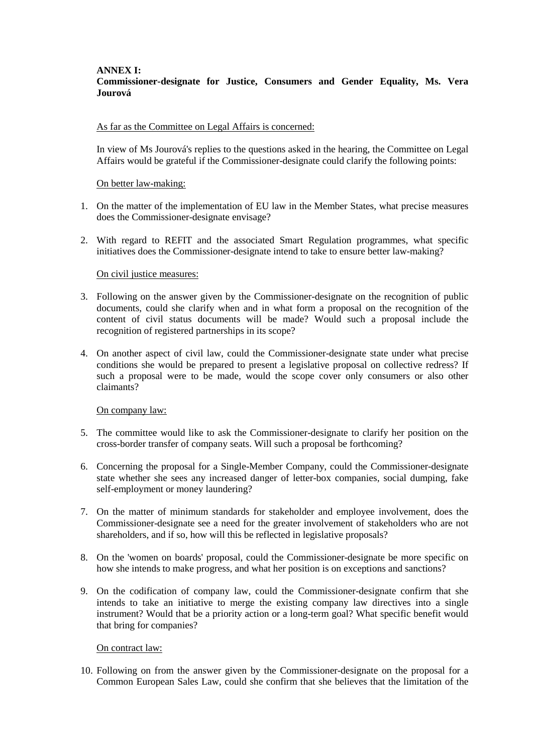#### **ANNEX I: Commissioner-designate for Justice, Consumers and Gender Equality, Ms. Vera Jourová**

#### As far as the Committee on Legal Affairs is concerned:

In view of Ms Jourová's replies to the questions asked in the hearing, the Committee on Legal Affairs would be grateful if the Commissioner-designate could clarify the following points:

#### On better law-making:

- 1. On the matter of the implementation of EU law in the Member States, what precise measures does the Commissioner-designate envisage?
- 2. With regard to REFIT and the associated Smart Regulation programmes, what specific initiatives does the Commissioner-designate intend to take to ensure better law-making?

#### On civil justice measures:

- 3. Following on the answer given by the Commissioner-designate on the recognition of public documents, could she clarify when and in what form a proposal on the recognition of the content of civil status documents will be made? Would such a proposal include the recognition of registered partnerships in its scope?
- 4. On another aspect of civil law, could the Commissioner-designate state under what precise conditions she would be prepared to present a legislative proposal on collective redress? If such a proposal were to be made, would the scope cover only consumers or also other claimants?

#### On company law:

- 5. The committee would like to ask the Commissioner-designate to clarify her position on the cross-border transfer of company seats. Will such a proposal be forthcoming?
- 6. Concerning the proposal for a Single-Member Company, could the Commissioner-designate state whether she sees any increased danger of letter-box companies, social dumping, fake self-employment or money laundering?
- 7. On the matter of minimum standards for stakeholder and employee involvement, does the Commissioner-designate see a need for the greater involvement of stakeholders who are not shareholders, and if so, how will this be reflected in legislative proposals?
- 8. On the 'women on boards' proposal, could the Commissioner-designate be more specific on how she intends to make progress, and what her position is on exceptions and sanctions?
- 9. On the codification of company law, could the Commissioner-designate confirm that she intends to take an initiative to merge the existing company law directives into a single instrument? Would that be a priority action or a long-term goal? What specific benefit would that bring for companies?

### On contract law:

10. Following on from the answer given by the Commissioner-designate on the proposal for a Common European Sales Law, could she confirm that she believes that the limitation of the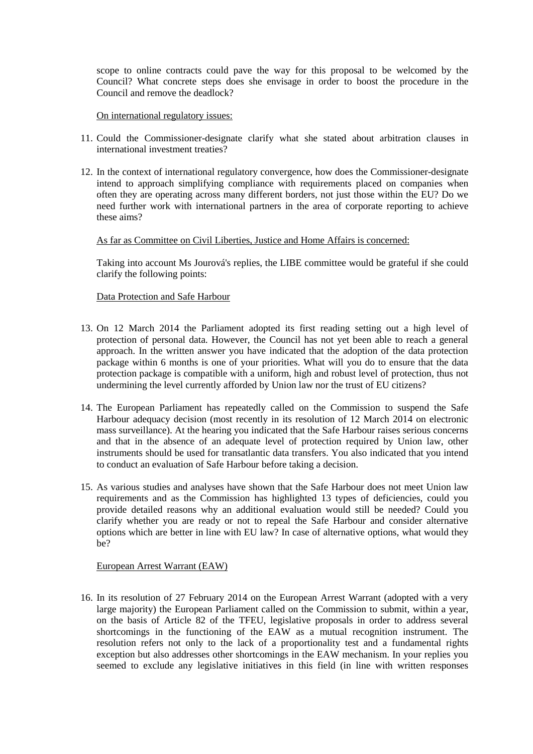scope to online contracts could pave the way for this proposal to be welcomed by the Council? What concrete steps does she envisage in order to boost the procedure in the Council and remove the deadlock?

On international regulatory issues:

- 11. Could the Commissioner-designate clarify what she stated about arbitration clauses in international investment treaties?
- 12. In the context of international regulatory convergence, how does the Commissioner-designate intend to approach simplifying compliance with requirements placed on companies when often they are operating across many different borders, not just those within the EU? Do we need further work with international partners in the area of corporate reporting to achieve these aims?

### As far as Committee on Civil Liberties, Justice and Home Affairs is concerned:

Taking into account Ms Jourová's replies, the LIBE committee would be grateful if she could clarify the following points:

#### Data Protection and Safe Harbour

- 13. On 12 March 2014 the Parliament adopted its first reading setting out a high level of protection of personal data. However, the Council has not yet been able to reach a general approach. In the written answer you have indicated that the adoption of the data protection package within 6 months is one of your priorities. What will you do to ensure that the data protection package is compatible with a uniform, high and robust level of protection, thus not undermining the level currently afforded by Union law nor the trust of EU citizens?
- 14. The European Parliament has repeatedly called on the Commission to suspend the Safe Harbour adequacy decision (most recently in its resolution of 12 March 2014 on electronic mass surveillance). At the hearing you indicated that the Safe Harbour raises serious concerns and that in the absence of an adequate level of protection required by Union law, other instruments should be used for transatlantic data transfers. You also indicated that you intend to conduct an evaluation of Safe Harbour before taking a decision.
- 15. As various studies and analyses have shown that the Safe Harbour does not meet Union law requirements and as the Commission has highlighted 13 types of deficiencies, could you provide detailed reasons why an additional evaluation would still be needed? Could you clarify whether you are ready or not to repeal the Safe Harbour and consider alternative options which are better in line with EU law? In case of alternative options, what would they be?

### European Arrest Warrant (EAW)

16. In its resolution of 27 February 2014 on the European Arrest Warrant (adopted with a very large majority) the European Parliament called on the Commission to submit, within a year, on the basis of Article 82 of the TFEU, legislative proposals in order to address several shortcomings in the functioning of the EAW as a mutual recognition instrument. The resolution refers not only to the lack of a proportionality test and a fundamental rights exception but also addresses other shortcomings in the EAW mechanism. In your replies you seemed to exclude any legislative initiatives in this field (in line with written responses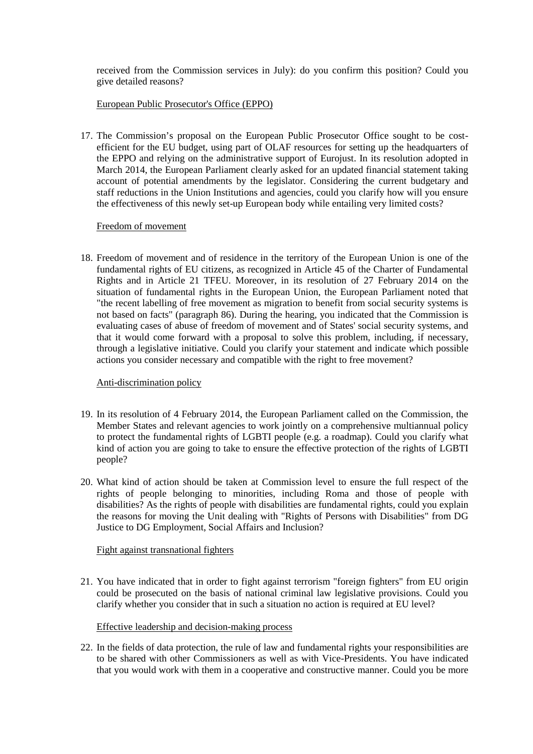received from the Commission services in July): do you confirm this position? Could you give detailed reasons?

### European Public Prosecutor's Office (EPPO)

17. The Commission's proposal on the European Public Prosecutor Office sought to be cost efficient for the EU budget, using part of OLAF resources for setting up the headquarters of the EPPO and relying on the administrative support of Eurojust. In its resolution adopted in March 2014, the European Parliament clearly asked for an updated financial statement taking account of potential amendments by the legislator. Considering the current budgetary and staff reductions in the Union Institutions and agencies, could you clarify how will you ensure the effectiveness of this newly set-up European body while entailing very limited costs?

### Freedom of movement

18. Freedom of movement and of residence in the territory of the European Union is one of the fundamental rights of EU citizens, as recognized in Article 45 of the Charter of Fundamental Rights and in Article 21 TFEU. Moreover, in its resolution of 27 February 2014 on the situation of fundamental rights in the European Union, the European Parliament noted that "the recent labelling of free movement as migration to benefit from social security systems is not based on facts" (paragraph 86). During the hearing, you indicated that the Commission is evaluating cases of abuse of freedom of movement and of States' social security systems, and that it would come forward with a proposal to solve this problem, including, if necessary, through a legislative initiative. Could you clarify your statement and indicate which possible actions you consider necessary and compatible with the right to free movement?

### Anti-discrimination policy

- 19. In its resolution of 4 February 2014, the European Parliament called on the Commission, the Member States and relevant agencies to work jointly on a comprehensive multiannual policy to protect the fundamental rights of LGBTI people (e.g. a roadmap). Could you clarify what kind of action you are going to take to ensure the effective protection of the rights of LGBTI people?
- 20. What kind of action should be taken at Commission level to ensure the full respect of the rights of people belonging to minorities, including Roma and those of people with disabilities? As the rights of people with disabilities are fundamental rights, could you explain the reasons for moving the Unit dealing with "Rights of Persons with Disabilities" from DG Justice to DG Employment, Social Affairs and Inclusion?

### Fight against transnational fighters

21. You have indicated that in order to fight against terrorism "foreign fighters" from EU origin could be prosecuted on the basis of national criminal law legislative provisions. Could you clarify whether you consider that in such a situation no action is required at EU level?

### Effective leadership and decision-making process

22. In the fields of data protection, the rule of law and fundamental rights your responsibilities are to be shared with other Commissioners as well as with Vice-Presidents. You have indicated that you would work with them in a cooperative and constructive manner. Could you be more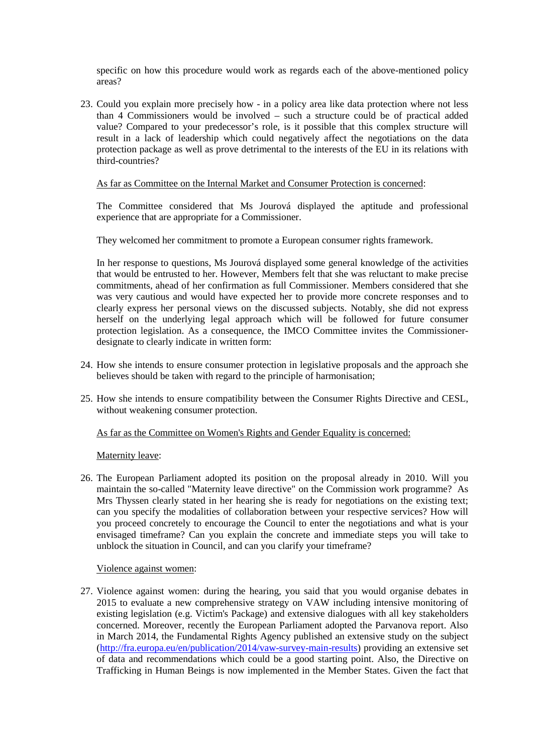specific on how this procedure would work as regards each of the above-mentioned policy areas?

23. Could you explain more precisely how - in a policy area like data protection where not less than 4 Commissioners would be involved – such a structure could be of practical added value? Compared to your predecessor's role, is it possible that this complex structure will result in a lack of leadership which could negatively affect the negotiations on the data protection package as well as prove detrimental to the interests of the EU in its relations with third-countries?

### As far as Committee on the Internal Market and Consumer Protection is concerned:

The Committee considered that Ms Jourová displayed the aptitude and professional experience that are appropriate for a Commissioner.

They welcomed her commitment to promote a European consumer rights framework.

In her response to questions, Ms Jourová displayed some general knowledge of the activities that would be entrusted to her. However, Members felt that she was reluctant to make precise commitments, ahead of her confirmation as full Commissioner. Members considered that she was very cautious and would have expected her to provide more concrete responses and to clearly express her personal views on the discussed subjects. Notably, she did not express herself on the underlying legal approach which will be followed for future consumer protection legislation. As a consequence, the IMCO Committee invites the Commissioner designate to clearly indicate in written form:

- 24. How she intends to ensure consumer protection in legislative proposals and the approach she believes should be taken with regard to the principle of harmonisation;
- 25. How she intends to ensure compatibility between the Consumer Rights Directive and CESL, without weakening consumer protection.

As far as the Committee on Women's Rights and Gender Equality is concerned:

Maternity leave:

26. The European Parliament adopted its position on the proposal already in 2010. Will you maintain the so-called "Maternity leave directive" on the Commission work programme? As Mrs Thyssen clearly stated in her hearing she is ready for negotiations on the existing text; can you specify the modalities of collaboration between your respective services? How will you proceed concretely to encourage the Council to enter the negotiations and what is your envisaged timeframe? Can you explain the concrete and immediate steps you will take to unblock the situation in Council, and can you clarify your timeframe?

#### Violence against women:

27. Violence against women: during the hearing, you said that you would organise debates in 2015 to evaluate a new comprehensive strategy on VAW including intensive monitoring of existing legislation (e.g. Victim's Package) and extensive dialogues with all key stakeholders concerned. Moreover, recently the European Parliament adopted the Parvanova report. Also in March 2014, the Fundamental Rights Agency published an extensive study on the subject (http://fra.europa.eu/en/publication/2014/vaw-survey-main-results) providing an extensive set of data and recommendations which could be a good starting point. Also, the Directive on Trafficking in Human Beings is now implemented in the Member States. Given the fact that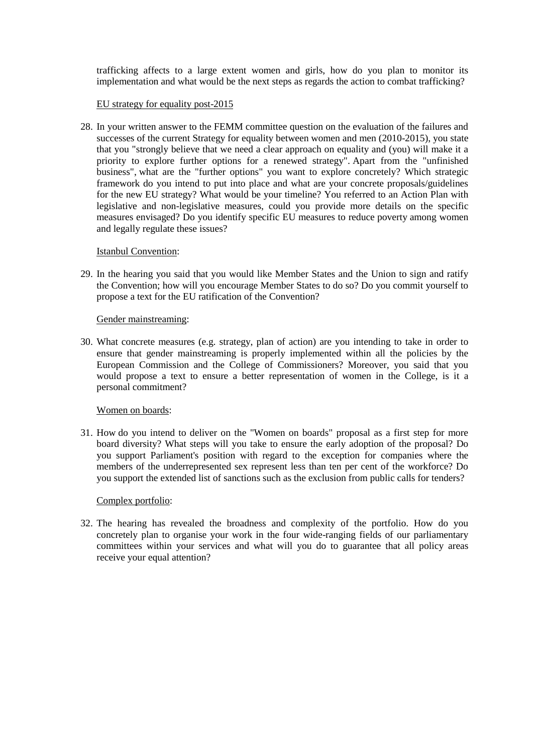trafficking affects to a large extent women and girls, how do you plan to monitor its implementation and what would be the next steps as regards the action to combat trafficking?

### EU strategy for equality post-2015

28. In your written answer to the FEMM committee question on the evaluation of the failures and successes of the current Strategy for equality between women and men (2010-2015), you state that you "strongly believe that we need a clear approach on equality and (you) will make it a priority to explore further options for a renewed strategy". Apart from the "unfinished business", what are the "further options" you want to explore concretely? Which strategic framework do you intend to put into place and what are your concrete proposals/guidelines for the new EU strategy? What would be your timeline? You referred to an Action Plan with legislative and non-legislative measures, could you provide more details on the specific measures envisaged? Do you identify specific EU measures to reduce poverty among women and legally regulate these issues?

#### Istanbul Convention:

29. In the hearing you said that you would like Member States and the Union to sign and ratify the Convention; how will you encourage Member States to do so? Do you commit yourself to propose a text for the EU ratification of the Convention?

#### Gender mainstreaming:

30. What concrete measures (e.g. strategy, plan of action) are you intending to take in order to ensure that gender mainstreaming is properly implemented within all the policies by the European Commission and the College of Commissioners? Moreover, you said that you would propose a text to ensure a better representation of women in the College, is it a personal commitment?

#### Women on boards:

31. How do you intend to deliver on the "Women on boards" proposal as a first step for more board diversity? What steps will you take to ensure the early adoption of the proposal? Do you support Parliament's position with regard to the exception for companies where the members of the underrepresented sex represent less than ten per cent of the workforce? Do you support the extended list of sanctions such as the exclusion from public calls for tenders?

### Complex portfolio:

32. The hearing has revealed the broadness and complexity of the portfolio. How do you concretely plan to organise your work in the four wide-ranging fields of our parliamentary committees within your services and what will you do to guarantee that all policy areas receive your equal attention?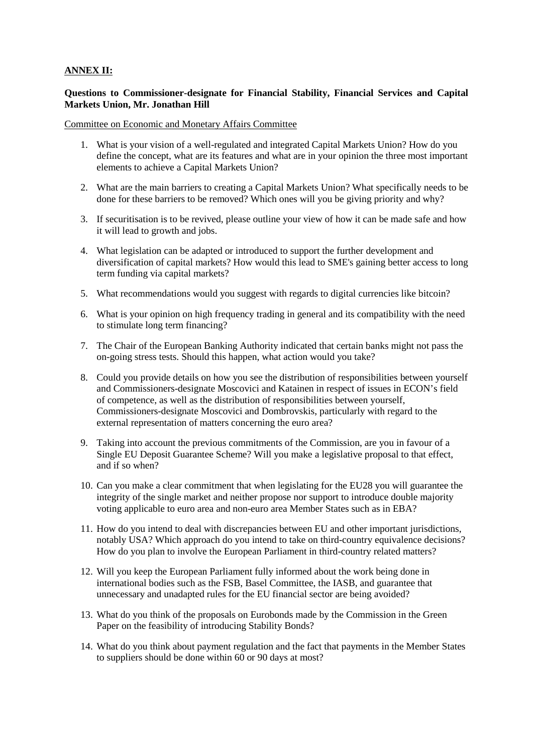# **ANNEX II:**

### **Questions to Commissioner-designate for Financial Stability, Financial Services and Capital Markets Union, Mr. Jonathan Hill**

Committee on Economic and Monetary Affairs Committee

- 1. What is your vision of a well-regulated and integrated Capital Markets Union? How do you define the concept, what are its features and what are in your opinion the three most important elements to achieve a Capital Markets Union?
- 2. What are the main barriers to creating a Capital Markets Union? What specifically needs to be done for these barriers to be removed? Which ones will you be giving priority and why?
- 3. If securitisation is to be revived, please outline your view of how it can be made safe and how it will lead to growth and jobs.
- 4. What legislation can be adapted or introduced to support the further development and diversification of capital markets? How would this lead to SME's gaining better access to long term funding via capital markets?
- 5. What recommendations would you suggest with regards to digital currencies like bitcoin?
- 6. What is your opinion on high frequency trading in general and its compatibility with the need to stimulate long term financing?
- 7. The Chair of the European Banking Authority indicated that certain banks might not pass the on-going stress tests. Should this happen, what action would you take?
- 8. Could you provide details on how you see the distribution of responsibilities between yourself and Commissioners-designate Moscovici and Katainen in respect of issues in ECON's field of competence, as well as the distribution of responsibilities between yourself, Commissioners-designate Moscovici and Dombrovskis, particularly with regard to the external representation of matters concerning the euro area?
- 9. Taking into account the previous commitments of the Commission, are you in favour of a Single EU Deposit Guarantee Scheme? Will you make a legislative proposal to that effect, and if so when?
- 10. Can you make a clear commitment that when legislating for the EU28 you will guarantee the integrity of the single market and neither propose nor support to introduce double majority voting applicable to euro area and non-euro area Member States such as in EBA?
- 11. How do you intend to deal with discrepancies between EU and other important jurisdictions, notably USA? Which approach do you intend to take on third-country equivalence decisions? How do you plan to involve the European Parliament in third-country related matters?
- 12. Will you keep the European Parliament fully informed about the work being done in international bodies such as the FSB, Basel Committee, the IASB, and guarantee that unnecessary and unadapted rules for the EU financial sector are being avoided?
- 13. What do you think of the proposals on Eurobonds made by the Commission in the Green Paper on the feasibility of introducing Stability Bonds?
- 14. What do you think about payment regulation and the fact that payments in the Member States to suppliers should be done within 60 or 90 days at most?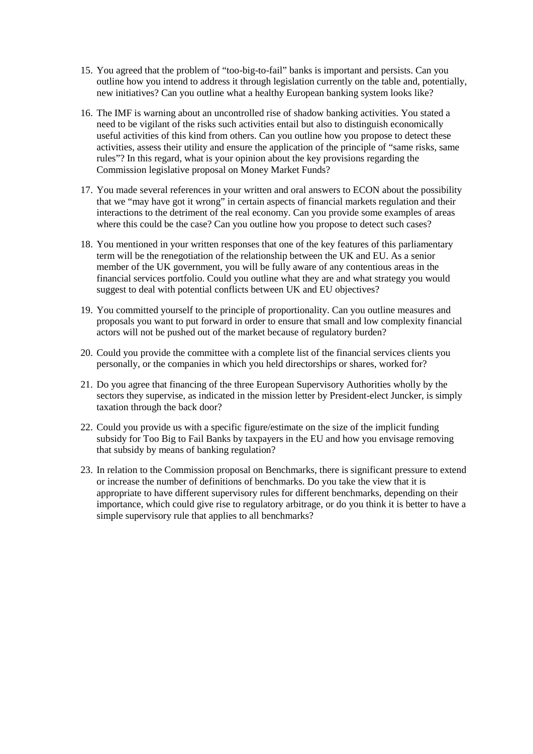- 15. You agreed that the problem of "too-big-to-fail" banks is important and persists. Can you outline how you intend to address it through legislation currently on the table and, potentially, new initiatives? Can you outline what a healthy European banking system looks like?
- 16. The IMF is warning about an uncontrolled rise of shadow banking activities. You stated a need to be vigilant of the risks such activities entail but also to distinguish economically useful activities of this kind from others. Can you outline how you propose to detect these activities, assess their utility and ensure the application of the principle of "same risks, same rules"? In this regard, what is your opinion about the key provisions regarding the Commission legislative proposal on Money Market Funds?
- 17. You made several references in your written and oral answers to ECON about the possibility that we "may have got it wrong" in certain aspects of financial markets regulation and their interactions to the detriment of the real economy. Can you provide some examples of areas where this could be the case? Can you outline how you propose to detect such cases?
- 18. You mentioned in your written responses that one of the key features of this parliamentary term will be the renegotiation of the relationship between the UK and EU. As a senior member of the UK government, you will be fully aware of any contentious areas in the financial services portfolio. Could you outline what they are and what strategy you would suggest to deal with potential conflicts between UK and EU objectives?
- 19. You committed yourself to the principle of proportionality. Can you outline measures and proposals you want to put forward in order to ensure that small and low complexity financial actors will not be pushed out of the market because of regulatory burden?
- 20. Could you provide the committee with a complete list of the financial services clients you personally, or the companies in which you held directorships or shares, worked for?
- 21. Do you agree that financing of the three European Supervisory Authorities wholly by the sectors they supervise, as indicated in the mission letter by President-elect Juncker, is simply taxation through the back door?
- 22. Could you provide us with a specific figure/estimate on the size of the implicit funding subsidy for Too Big to Fail Banks by taxpayers in the EU and how you envisage removing that subsidy by means of banking regulation?
- 23. In relation to the Commission proposal on Benchmarks, there is significant pressure to extend or increase the number of definitions of benchmarks. Do you take the view that it is appropriate to have different supervisory rules for different benchmarks, depending on their importance, which could give rise to regulatory arbitrage, or do you think it is better to have a simple supervisory rule that applies to all benchmarks?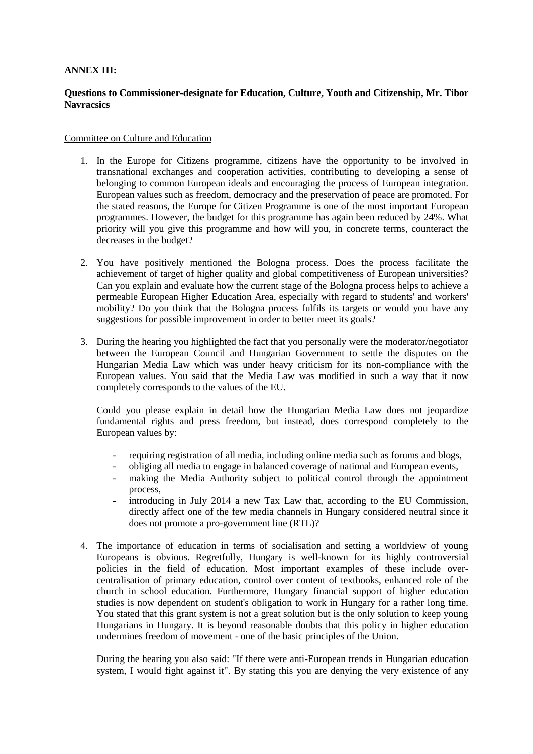# **ANNEX III:**

# **Questions to Commissioner-designate for Education, Culture, Youth and Citizenship, Mr. Tibor Navracsics**

#### Committee on Culture and Education

- 1. In the Europe for Citizens programme, citizens have the opportunity to be involved in transnational exchanges and cooperation activities, contributing to developing a sense of belonging to common European ideals and encouraging the process of European integration. European values such as freedom, democracy and the preservation of peace are promoted. For the stated reasons, the Europe for Citizen Programme is one of the most important European programmes. However, the budget for this programme has again been reduced by 24%. What priority will you give this programme and how will you, in concrete terms, counteract the decreases in the budget?
- 2. You have positively mentioned the Bologna process. Does the process facilitate the achievement of target of higher quality and global competitiveness of European universities? Can you explain and evaluate how the current stage of the Bologna process helps to achieve a permeable European Higher Education Area, especially with regard to students' and workers' mobility? Do you think that the Bologna process fulfils its targets or would you have any suggestions for possible improvement in order to better meet its goals?
- 3. During the hearing you highlighted the fact that you personally were the moderator/negotiator between the European Council and Hungarian Government to settle the disputes on the Hungarian Media Law which was under heavy criticism for its non-compliance with the European values. You said that the Media Law was modified in such a way that it now completely corresponds to the values of the EU.

Could you please explain in detail how the Hungarian Media Law does not jeopardize fundamental rights and press freedom, but instead, does correspond completely to the European values by:

- requiring registration of all media, including online media such as forums and blogs,
- obliging all media to engage in balanced coverage of national and European events,
- making the Media Authority subject to political control through the appointment process,
- introducing in July 2014 a new Tax Law that, according to the EU Commission, directly affect one of the few media channels in Hungary considered neutral since it does not promote a pro-government line (RTL)?
- 4. The importance of education in terms of socialisation and setting a worldview of young Europeans is obvious. Regretfully, Hungary is well-known for its highly controversial policies in the field of education. Most important examples of these include over centralisation of primary education, control over content of textbooks, enhanced role of the church in school education. Furthermore, Hungary financial support of higher education studies is now dependent on student's obligation to work in Hungary for a rather long time. You stated that this grant system is not a great solution but is the only solution to keep young Hungarians in Hungary. It is beyond reasonable doubts that this policy in higher education undermines freedom of movement - one of the basic principles of the Union.

During the hearing you also said: "If there were anti-European trends in Hungarian education system, I would fight against it". By stating this you are denying the very existence of any